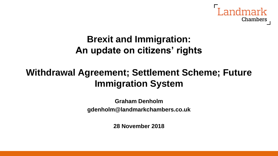

# **Brexit and Immigration: An update on citizens' rights**

# **Withdrawal Agreement; Settlement Scheme; Future Immigration System**

**Graham Denholm gdenholm@landmarkchambers.co.uk**

**28 November 2018**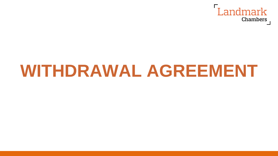

# **WITHDRAWAL AGREEMENT**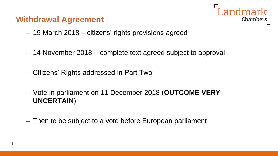#### **Withdrawal Agreement**

1



- 19 March 2018 citizens' rights provisions agreed
- 14 November 2018 complete text agreed subject to approval
- Citizens' Rights addressed in Part Two
- Vote in parliament on 11 December 2018 (**OUTCOME VERY UNCERTAIN**)
- Then to be subject to a vote before European parliament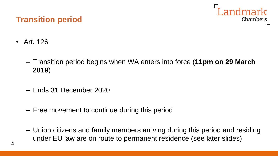

#### **Transition period**

- Art. 126
	- Transition period begins when WA enters into force (**11pm on 29 March 2019**)
	- Ends 31 December 2020
	- Free movement to continue during this period
	- Union citizens and family members arriving during this period and residing under EU law are on route to permanent residence (see later slides)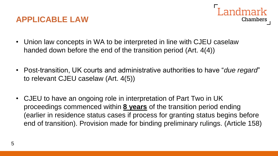#### **APPLICABLE LAW**



- Union law concepts in WA to be interpreted in line with CJEU caselaw handed down before the end of the transition period (Art. 4(4))
- Post-transition, UK courts and administrative authorities to have "*due regard*" to relevant CJEU caselaw (Art. 4(5))
- CJEU to have an ongoing role in interpretation of Part Two in UK proceedings commenced within **8 years** of the transition period ending (earlier in residence status cases if process for granting status begins before end of transition). Provision made for binding preliminary rulings. (Article 158)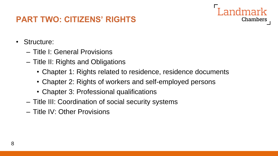## **PART TWO: CITIZENS' RIGHTS**

- Structure:
	- Title I: General Provisions
	- Title II: Rights and Obligations
		- Chapter 1: Rights related to residence, residence documents

- Chapter 2: Rights of workers and self-employed persons
- Chapter 3: Professional qualifications
- Title III: Coordination of social security systems
- Title IV: Other Provisions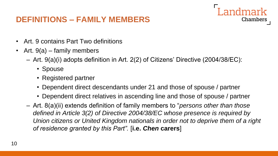### **DEFINITIONS – FAMILY MEMBERS**

- Art. 9 contains Part Two definitions
- Art. 9(a) family members
	- Art. 9(a)(i) adopts definition in Art. 2(2) of Citizens' Directive (2004/38/EC):
		- Spouse
		- Registered partner
		- Dependent direct descendants under 21 and those of spouse / partner
		- Dependent direct relatives in ascending line and those of spouse / partner

Chambers

– Art. 8(a)(ii) extends definition of family members to "*persons other than those defined in Article 3(2) of Directive 2004/38/EC whose presence is required by Union citizens or United Kingdom nationals in order not to deprive them of a right of residence granted by this Part".* [**i.e.** *Chen* **carers**]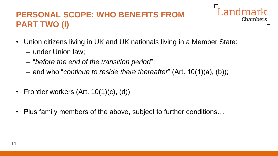# **PERSONAL SCOPE: WHO BENEFITS FROM PART TWO (I)**

- Landmark **Chambers**
- Union citizens living in UK and UK nationals living in a Member State:
	- under Union law;
	- "*before the end of the transition period*";
	- and who "*continue to reside there thereafter*" (Art. 10(1)(a), (b));
- Frontier workers (Art. 10(1)(c), (d));
- Plus family members of the above, subject to further conditions…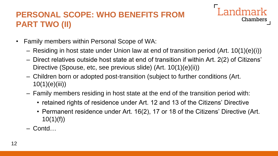# **PERSONAL SCOPE: WHO BENEFITS FROM PART TWO (II)**



- Family members within Personal Scope of WA:
	- Residing in host state under Union law at end of transition period (Art. 10(1)(e)(i))
	- Direct relatives outside host state at end of transition if within Art. 2(2) of Citizens' Directive (Spouse, etc, see previous slide) (Art. 10(1)(e)(ii))
	- Children born or adopted post-transition (subject to further conditions (Art.  $10(1)(e)(iii)$
	- Family members residing in host state at the end of the transition period with:
		- retained rights of residence under Art. 12 and 13 of the Citizens' Directive
		- Permanent residence under Art. 16(2), 17 or 18 of the Citizens' Directive (Art.  $10(1)(f)$
	- Contd…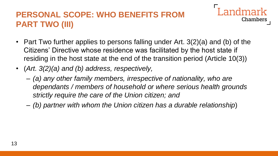# **PERSONAL SCOPE: WHO BENEFITS FROM PART TWO (III)**

- **Chambers**
- Part Two further applies to persons falling under Art. 3(2)(a) and (b) of the Citizens' Directive whose residence was facilitated by the host state if residing in the host state at the end of the transition period (Article 10(3))
- (*Art. 3(2)(a) and (b) address, respectively,*
	- *(a) any other family members, irrespective of nationality, who are dependants / members of household or where serious health grounds strictly require the care of the Union citizen; and*
	- *(b) partner with whom the Union citizen has a durable relationship*)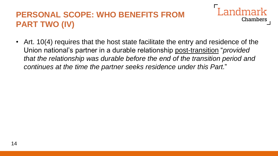# **PERSONAL SCOPE: WHO BENEFITS FROM PART TWO (IV)**



• Art. 10(4) requires that the host state facilitate the entry and residence of the Union national's partner in a durable relationship post-transition "*provided that the relationship was durable before the end of the transition period and continues at the time the partner seeks residence under this Part.*"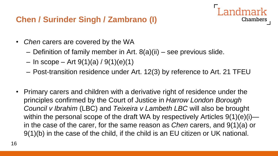## **Chen / Surinder Singh / Zambrano (I)**

- *Chen* carers are covered by the WA
	- Definition of family member in Art. 8(a)(ii) see previous slide.
	- $-$  In scope  $-$  Art 9(1)(a) / 9(1)(e)(1)
	- Post-transition residence under Art. 12(3) by reference to Art. 21 TFEU

Chambers

• Primary carers and children with a derivative right of residence under the principles confirmed by the Court of Justice in *Harrow London Borough Council v Ibrahim* (LBC) and *Teixeira v Lambeth LBC* will also be brought within the personal scope of the draft WA by respectively Articles 9(1)(e)(i) in the case of the carer, for the same reason as *Chen* carers, and 9(1)(a) or 9(1)(b) in the case of the child, if the child is an EU citizen or UK national.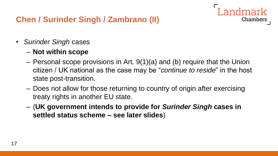## **Chen / Surinder Singh / Zambrano (II)**

- *Surinder Singh* cases
	- **Not within scope**
	- Personal scope provisions in Art. 9(1)(a) and (b) require that the Union citizen / UK national as the case may be "*continue to reside*" in the host state post-transition.

- Does not allow for those returning to country of origin after exercising treaty rights in another EU state.
- (**UK government intends to provide for** *Surinder Singh* **cases in settled status scheme – see later slides**)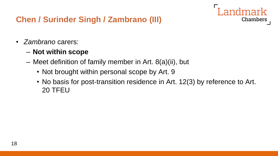## **Chen / Surinder Singh / Zambrano (III)**

- *Zambrano* carers:
	- **Not within scope**
	- Meet definition of family member in Art. 8(a)(ii), but
		- Not brought within personal scope by Art. 9
		- No basis for post-transition residence in Art. 12(3) by reference to Art. 20 TFEU

andmark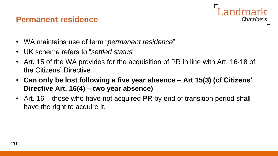#### **Permanent residence**



- WA maintains use of term "*permanent residence*"
- UK scheme refers to "*settled status*"
- Art. 15 of the WA provides for the acquisition of PR in line with Art. 16-18 of the Citizens' Directive
- **Can only be lost following a five year absence – Art 15(3) (cf Citizens' Directive Art. 16(4) – two year absence)**
- Art. 16 those who have not acquired PR by end of transition period shall have the right to acquire it.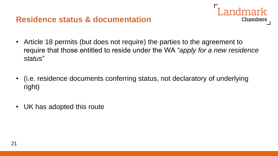- Landmark **Chambers**
- Article 18 permits (but does not require) the parties to the agreement to require that those entitled to reside under the WA "*apply for a new residence status*"
- (i.e. residence documents conferring status, not declaratory of underlying right)
- UK has adopted this route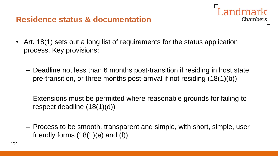- Landmark Chambers
- Art. 18(1) sets out a long list of requirements for the status application process. Key provisions:
	- Deadline not less than 6 months post-transition if residing in host state pre-transition, or three months post-arrival if not residing (18(1)(b))
	- Extensions must be permitted where reasonable grounds for failing to respect deadline (18(1)(d))
	- Process to be smooth, transparent and simple, with short, simple, user friendly forms (18(1)(e) and (f))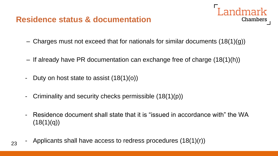

- Charges must not exceed that for nationals for similar documents (18(1)(g))
- If already have PR documentation can exchange free of charge (18(1)(h))
- Duty on host state to assist  $(18(1)(o))$
- Criminality and security checks permissible  $(18(1)(p))$
- Residence document shall state that it is "issued in accordance with" the WA  $(18(1)(q))$
- Applicants shall have access to redress procedures  $(18(1)(r))$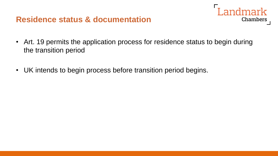• Art. 19 permits the application process for residence status to begin during the transition period

Landmark

Chambers

• UK intends to begin process before transition period begins.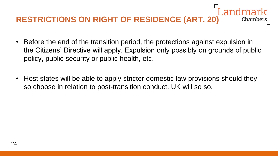#### **RESTRICTIONS ON RIGHT OF RESIDENCE (ART. 20)** Chambers

- Before the end of the transition period, the protections against expulsion in the Citizens' Directive will apply. Expulsion only possibly on grounds of public policy, public security or public health, etc.
- Host states will be able to apply stricter domestic law provisions should they so choose in relation to post-transition conduct. UK will so so.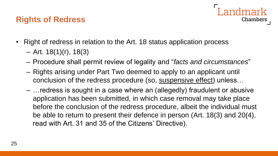## **Rights of Redress**



- Right of redress in relation to the Art. 18 status application process
	- $-$  Art. 18(1)(r), 18(3)
	- Procedure shall permit review of legality and "*facts and circumstances*"
	- Rights arising under Part Two deemed to apply to an applicant until conclusion of the redress procedure (so, suspensive effect) unless…
	- …redress is sought in a case where an (allegedly) fraudulent or abusive application has been submitted, in which case removal may take place before the conclusion of the redress procedure, albeit the individual must be able to return to present their defence in person (Art. 18(3) and 20(4), read with Art. 31 and 35 of the Citizens' Directive).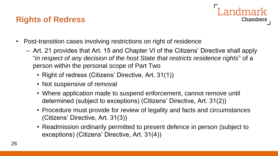## **Rights of Redress**



- Post-transition cases involving restrictions on right of residence
	- Art. 21 provides that Art. 15 and Chapter VI of the Citizens' Directive shall apply "*in respect of any decision of the host State that restricts residence rights*" of a person within the personal scope of Part Two
		- Right of redress (Citizens' Directive, Art. 31(1))
		- Not suspensive of removal
		- Where application made to suspend enforcement, cannot remove until determined (subject to exceptions) (Citizens' Directive, Art. 31(2))
		- Procedure must provide for review of legality and facts and circumstances (Citizens' Directive, Art. 31(3))
		- Readmission ordinarily permitted to present defence in person (subject to exceptions) (Citizens' Directive, Art. 31(4))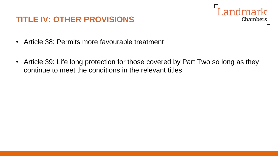#### **TITLE IV: OTHER PROVISIONS**



- Article 38: Permits more favourable treatment
- Article 39: Life long protection for those covered by Part Two so long as they continue to meet the conditions in the relevant titles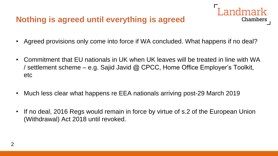## **Nothing is agreed until everything is agreed**

• Agreed provisions only come into force if WA concluded. What happens if no deal?

Landmark

- Commitment that EU nationals in UK when UK leaves will be treated in line with WA / settlement scheme – e.g. Sajid Javid @ CPCC, Home Office Employer's Toolkit, etc
- Much less clear what happens re EEA nationals arriving post-29 March 2019
- If no deal, 2016 Regs would remain in force by virtue of s.2 of the European Union (Withdrawal) Act 2018 until revoked.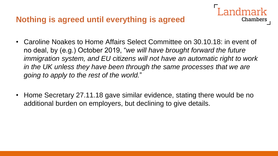#### **Nothing is agreed until everything is agreed**

• Caroline Noakes to Home Affairs Select Committee on 30.10.18: in event of no deal, by (e.g.) October 2019, "*we will have brought forward the future immigration system, and EU citizens will not have an automatic right to work in the UK unless they have been through the same processes that we are going to apply to the rest of the world.*"

Chambers

• Home Secretary 27.11.18 gave similar evidence, stating there would be no additional burden on employers, but declining to give details.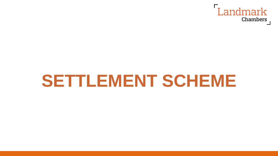

# **SETTLEMENT SCHEME**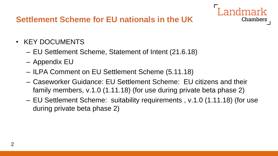### **Settlement Scheme for EU nationals in the UK**

- KEY DOCUMENTS
	- EU Settlement Scheme, Statement of Intent (21.6.18)
	- Appendix EU
	- ILPA Comment on EU Settlement Scheme (5.11.18)
	- Caseworker Guidance: EU Settlement Scheme: EU citizens and their family members, v.1.0 (1.11.18) (for use during private beta phase 2)
	- EU Settlement Scheme: suitability requirements , v.1.0 (1.11.18) (for use during private beta phase 2)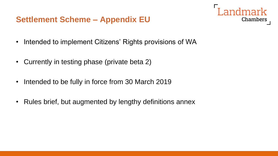- I andmark **Chambers**
- Intended to implement Citizens' Rights provisions of WA
- Currently in testing phase (private beta 2)
- Intended to be fully in force from 30 March 2019
- Rules brief, but augmented by lengthy definitions annex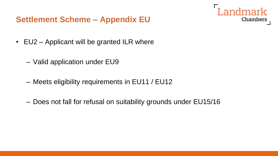

- EU2 Applicant will be granted ILR where
	- Valid application under EU9
	- Meets eligibility requirements in EU11 / EU12
	- Does not fall for refusal on suitability grounds under EU15/16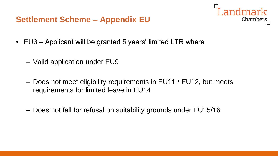- Landmark Chambers
- EU3 Applicant will be granted 5 years' limited LTR where
	- Valid application under EU9
	- Does not meet eligibility requirements in EU11 / EU12, but meets requirements for limited leave in EU14
	- Does not fall for refusal on suitability grounds under EU15/16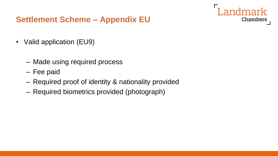- Valid application (EU9)
	- Made using required process
	- Fee paid
	- Required proof of identity & nationality provided

**Chambers** 

– Required biometrics provided (photograph)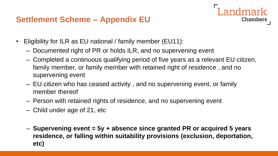Landmark **Chambers** 

- Eligibility for ILR as EU national / family member (EU11):
	- Documented right of PR or holds ILR, and no supervening event
	- Completed a continuous qualifying period of five years as a relevant EU citizen, family member, or family member with retained right of residence , and no supervening event
	- EU citizen who has ceased activity , and no supervening event, or family member thereof
	- Person with retained rights of residence, and no supervening event
	- Child under age of 21, etc
	- **Supervening event = 5y + absence since granted PR or acquired 5 years residence, or falling within suitability provisions (exclusion, deportation, etc)**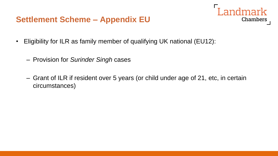- Landmark **Chambers**
- Eligibility for ILR as family member of qualifying UK national (EU12):
	- Provision for *Surinder Singh* cases
	- Grant of ILR if resident over 5 years (or child under age of 21, etc, in certain circumstances)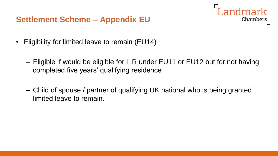

- Eligibility for limited leave to remain (EU14)
	- Eligible if would be eligible for ILR under EU11 or EU12 but for not having completed five years' qualifying residence
	- Child of spouse / partner of qualifying UK national who is being granted limited leave to remain.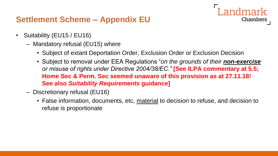- Suitability (EU15 / EU16)
	- Mandatory refusal (EU15) where
		- Subject of extant Deportation Order, Exclusion Order or Exclusion Decision
		- Subject to removal under EEA Regulations "*on the grounds of their non-exercise or misuse of rights under Directive 2004/38/EC."* **[See ILPA commentary at 5.5; Home Sec & Perm. Sec seemed unaware of this provision as at 27.11.18! See also** *Suitability Requirements* **guidance]**

Landmark

- Discretionary refusal (EU16)
	- False information, documents, etc, material to decision to refuse, and decision to refuse is proportionate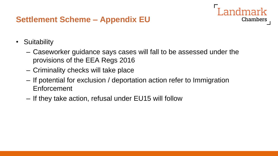- Suitability
	- Caseworker guidance says cases will fall to be assessed under the provisions of the EEA Regs 2016

andmark

- Criminality checks will take place
- If potential for exclusion / deportation action refer to Immigration Enforcement
- If they take action, refusal under EU15 will follow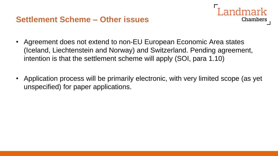

- Agreement does not extend to non-EU European Economic Area states (Iceland, Liechtenstein and Norway) and Switzerland. Pending agreement, intention is that the settlement scheme will apply (SOI, para 1.10)
- Application process will be primarily electronic, with very limited scope (as yet unspecified) for paper applications.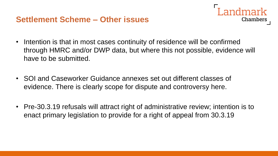

- SOI and Caseworker Guidance annexes set out different classes of evidence. There is clearly scope for dispute and controversy here.
- Pre-30.3.19 refusals will attract right of administrative review; intention is to enact primary legislation to provide for a right of appeal from 30.3.19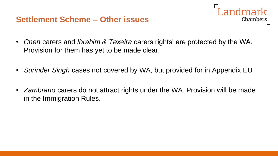

- *Chen* carers and *Ibrahim & Texeira* carers rights' are protected by the WA. Provision for them has yet to be made clear.
- *Surinder Singh* cases not covered by WA, but provided for in Appendix EU
- *Zambrano* carers do not attract rights under the WA. Provision will be made in the Immigration Rules.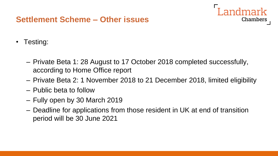#### **Settlement Scheme – Other issues**

andmark **Chambers** 

- Testing:
	- Private Beta 1: 28 August to 17 October 2018 completed successfully, according to Home Office report
	- Private Beta 2: 1 November 2018 to 21 December 2018, limited eligibility
	- Public beta to follow
	- Fully open by 30 March 2019
	- Deadline for applications from those resident in UK at end of transition period will be 30 June 2021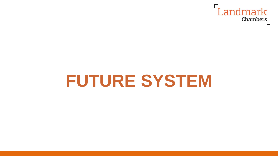

# **FUTURE SYSTEM**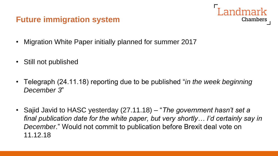#### **Future immigration system**



- Migration White Paper initially planned for summer 2017
- Still not published
- Telegraph (24.11.18) reporting due to be published "*in the week beginning December 3*"
- Sajid Javid to HASC yesterday (27.11.18) "*The government hasn't set a final publication date for the white paper, but very shortly… I'd certainly say in December*." Would not commit to publication before Brexit deal vote on 11.12.18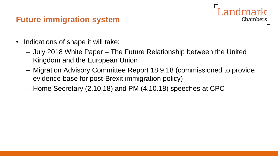#### **Future immigration system**

- Indications of shape it will take:
	- July 2018 White Paper The Future Relationship between the United Kingdom and the European Union
	- Migration Advisory Committee Report 18.9.18 (commissioned to provide evidence base for post-Brexit immigration policy)

**Chambers** 

– Home Secretary (2.10.18) and PM (4.10.18) speeches at CPC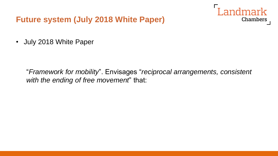

• July 2018 White Paper

"*Framework for mobility*". Envisages "*reciprocal arrangements, consistent with the ending of free movement*" that: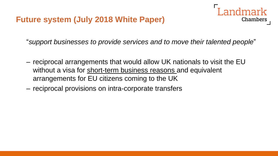

- reciprocal arrangements that would allow UK nationals to visit the EU without a visa for short-term business reasons and equivalent arrangements for EU citizens coming to the UK
- reciprocal provisions on intra-corporate transfers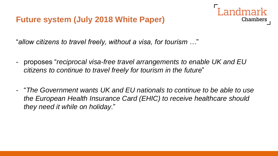"*allow citizens to travel freely, without a visa, for tourism …*"

- proposes "*reciprocal visa-free travel arrangements to enable UK and EU citizens to continue to travel freely for tourism in the future*"

Chambers

- "*The Government wants UK and EU nationals to continue to be able to use the European Health Insurance Card (EHIC) to receive healthcare should they need it while on holiday*."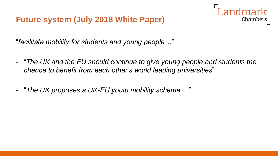"*facilitate mobility for students and young people…*"

- "*The UK and the EU should continue to give young people and students the chance to benefit from each other's world leading universities*"

**Chambers** 

- "*The UK proposes a UK-EU youth mobility scheme …*"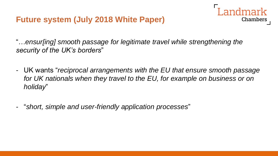

- UK wants "*reciprocal arrangements with the EU that ensure smooth passage*  for UK nationals when they travel to the EU, for example on business or on *holiday*"

Chambers

- "*short, simple and user-friendly application processes*"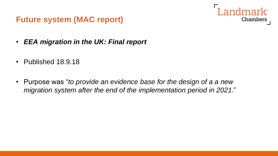

- *EEA migration in the UK: Final report*
- Published 18.9.18
- Purpose was "*to provide an evidence base for the design of a a new migration system after the end of the implementation period in 2021*."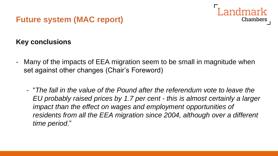

#### **Key conclusions**

- Many of the impacts of EEA migration seem to be small in magnitude when set against other changes (Chair's Foreword)
	- "*The fall in the value of the Pound after the referendum vote to leave the EU probably raised prices by 1.7 per cent - this is almost certainly a larger impact than the effect on wages and employment opportunities of residents from all the EEA migration since 2004, although over a different time period*."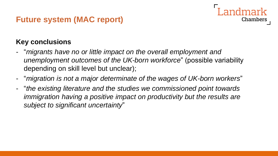#### **Key conclusions**

- "*migrants have no or little impact on the overall employment and unemployment outcomes of the UK-born workforce*" (possible variability depending on skill level but unclear);

- "*migration is not a major determinate of the wages of UK-born workers*"
- "*the existing literature and the studies we commissioned point towards immigration having a positive impact on productivity but the results are subject to significant uncertainty*"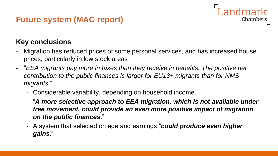#### **Key conclusions**

- Migration has reduced prices of some personal services, and has increased house prices, particularly in low stock areas

andmark

- "*EEA migrants pay more in taxes than they receive in benefits. The positive net contribution to the public finances is larger for EU13+ migrants than for NMS migrants.*"
	- Considerable variability, depending on household income.
	- "*A more selective approach to EEA migration, which is not available under free movement, could provide an even more positive impact of migration on the public finances*."
	- A system that selected on age and earnings "*could produce even higher gains*."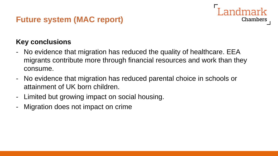

- No evidence that migration has reduced the quality of healthcare. EEA migrants contribute more through financial resources and work than they consume.

andmark

- No evidence that migration has reduced parental choice in schools or attainment of UK born children.
- Limited but growing impact on social housing.
- Migration does not impact on crime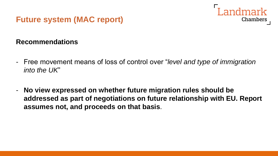

#### **Recommendations**

- Free movement means of loss of control over "*level and type of immigration into the UK*"
- **No view expressed on whether future migration rules should be addressed as part of negotiations on future relationship with EU. Report assumes not, and proceeds on that basis**.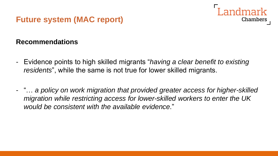

#### **Recommendations**

- Evidence points to high skilled migrants "*having a clear benefit to existing residents*", while the same is not true for lower skilled migrants.
- "… *a policy on work migration that provided greater access for higher-skilled migration while restricting access for lower-skilled workers to enter the UK would be consistent with the available evidence*."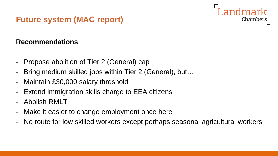#### **Recommendations**

- Propose abolition of Tier 2 (General) cap
- Bring medium skilled jobs within Tier 2 (General), but…
- Maintain £30,000 salary threshold
- Extend immigration skills charge to EEA citizens
- Abolish RMLT
- Make it easier to change employment once here
- No route for low skilled workers except perhaps seasonal agricultural workers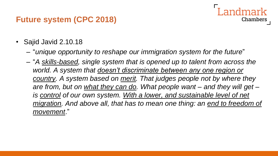### **Future system (CPC 2018)**

- Sajid Javid 2.10.18
	- "*unique opportunity to reshape our immigration system for the future*"
	- "*A skills-based, single system that is opened up to talent from across the world. A system that doesn't discriminate between any one region or country. A system based on merit. That judges people not by where they are from, but on what they can do. What people want – and they will get – is control of our own system. With a lower, and sustainable level of net migration. And above all, that has to mean one thing: an end to freedom of movement*."